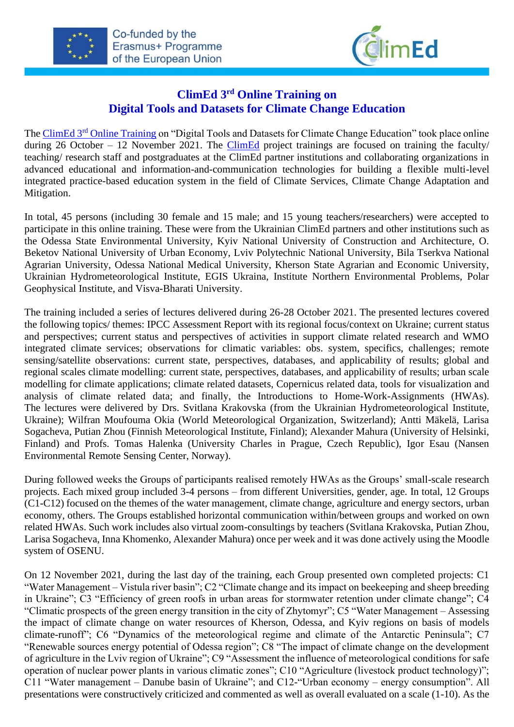



## **ClimEd 3 rd Online Training on Digital Tools and Datasets for Climate Change Education**

The ClimEd 3<sup>rd</sup> [Online Training](http://climed.network/events/climed-trainings/climed-training-3-online/) on "Digital Tools and Datasets for Climate Change Education" took place online during 26 October – 12 November 2021. The [ClimEd](http://climed.network/) project trainings are focused on training the faculty/ teaching/ research staff and postgraduates at the ClimEd partner institutions and collaborating organizations in advanced educational and information-and-communication technologies for building a flexible multi-level integrated practice-based education system in the field of Climate Services, Climate Change Adaptation and Mitigation.

In total, 45 persons (including 30 female and 15 male; and 15 young teachers/researchers) were accepted to participate in this online training. These were from the Ukrainian ClimEd partners and other institutions such as the Odessa State Environmental University, Kyiv National University of Construction and Architecture, O. Beketov National University of Urban Economy, Lviv Polytechnic National University, Bila Tserkva National Agrarian University, Odessa National Medical University, Kherson State Agrarian and Economic University, Ukrainian Hydrometeorological Institute, EGIS Ukraina, Institute Northern Environmental Problems, Polar Geophysical Institute, and Visva-Bharati University.

The training included a series of lectures delivered during 26-28 October 2021. The presented lectures covered the following topics/ themes: IPCC Assessment Report with its regional focus/context on Ukraine; current status and perspectives; current status and perspectives of activities in support climate related research and WMO integrated climate services; observations for climatic variables: obs. system, specifics, challenges; remote sensing/satellite observations: current state, perspectives, databases, and applicability of results; global and regional scales climate modelling: current state, perspectives, databases, and applicability of results; urban scale modelling for climate applications; climate related datasets, Copernicus related data, tools for visualization and analysis of climate related data; and finally, the Introductions to Home-Work-Assignments (HWAs). The lectures were delivered by Drs. Svitlana Krakovska (from the Ukrainian Hydrometeorological Institute, Ukraine); Wilfran Moufouma Okia (World Meteorological Organization, Switzerland); Antti Mäkelä, Larisa Sogacheva, Putian Zhou (Finnish Meteorological Institute, Finland); Alexander Mahura (University of Helsinki, Finland) and Profs. Tomas Halenka (University Charles in Prague, Czech Republic), Igor Esau (Nansen Environmental Remote Sensing Center, Norway).

During followed weeks the Groups of participants realised remotely HWAs as the Groups' small-scale research projects. Each mixed group included 3-4 persons – from different Universities, gender, age. In total, 12 Groups (C1-C12) focused on the themes of the water management, climate change, agriculture and energy sectors, urban economy, others. The Groups established horizontal communication within/between groups and worked on own related HWAs. Such work includes also virtual zoom-consultings by teachers (Svitlana Krakovska, Putian Zhou, Larisa Sogacheva, Inna Khomenko, Alexander Mahura) once per week and it was done actively using the Moodle system of OSENU.

On 12 November 2021, during the last day of the training, each Group presented own completed projects: C1 "Water Management – Vistula river basin"; C2 "Climate change and its impact on beekeeping and sheep breeding in Ukraine"; C3 "Efficiency of green roofs in urban areas for stormwater retention under climate change"; C4 "Climatic prospects of the green energy transition in the city of Zhytomyr"; C5 "Water Management – Assessing the impact of climate change on water resources of Kherson, Odessa, and Kyiv regions on basis of models climate-runoff"; C6 "Dynamics of the meteorological regime and climate of the Antarctic Peninsula"; C7 "Renewable sources energy potential of Odessa region"; C8 "The impact of climate change on the development of agriculture in the Lviv region of Ukraine"; C9 "Assessment the influence of meteorological conditions for safe operation of nuclear power plants in various climatic zones"; C10 "Agriculture (livestock product technology)"; C11 "Water management – Danube basin of Ukraine"; and C12-"Urban economy – energy consumption". All presentations were constructively criticized and commented as well as overall evaluated on a scale (1-10). As the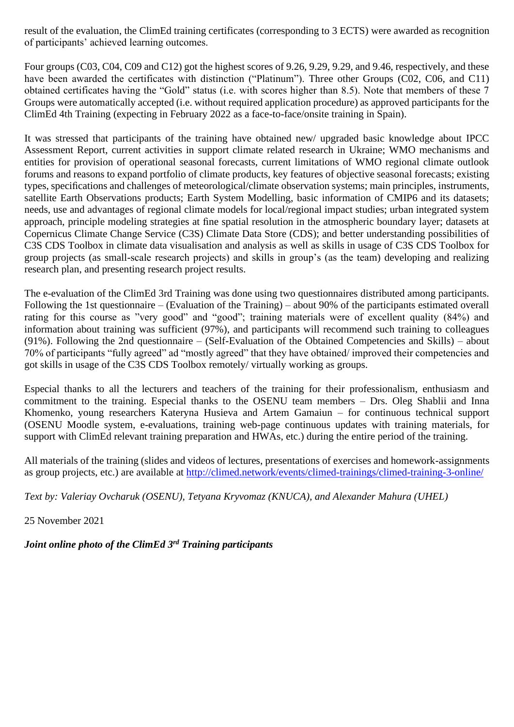result of the evaluation, the ClimEd training certificates (corresponding to 3 ECTS) were awarded as recognition of participants' achieved learning outcomes.

Four groups (C03, C04, C09 and C12) got the highest scores of 9.26, 9.29, 9.29, and 9.46, respectively, and these have been awarded the certificates with distinction ("Platinum"). Three other Groups (C02, C06, and C11) obtained certificates having the "Gold" status (i.e. with scores higher than 8.5). Note that members of these 7 Groups were automatically accepted (i.e. without required application procedure) as approved participants for the ClimEd 4th Training (expecting in February 2022 as a face-to-face/onsite training in Spain).

It was stressed that participants of the training have obtained new/ upgraded basic knowledge about IPCC Assessment Report, current activities in support climate related research in Ukraine; WMO mechanisms and entities for provision of operational seasonal forecasts, current limitations of WMO regional climate outlook forums and reasons to expand portfolio of climate products, key features of objective seasonal forecasts; existing types, specifications and challenges of meteorological/climate observation systems; main principles, instruments, satellite Earth Observations products; Earth System Modelling, basic information of CMIP6 and its datasets; needs, use and advantages of regional climate models for local/regional impact studies; urban integrated system approach, principle modeling strategies at fine spatial resolution in the atmospheric boundary layer; datasets at Copernicus Climate Change Service (C3S) Climate Data Store (CDS); and better understanding possibilities of C3S CDS Toolbox in climate data visualisation and analysis as well as skills in usage of C3S CDS Toolbox for group projects (as small-scale research projects) and skills in group's (as the team) developing and realizing research plan, and presenting research project results.

The e-evaluation of the ClimEd 3rd Training was done using two questionnaires distributed among participants. Following the 1st questionnaire – (Evaluation of the Training) – about 90% of the participants estimated overall rating for this course as "very good" and "good"; training materials were of excellent quality (84%) and information about training was sufficient (97%), and participants will recommend such training to colleagues (91%). Following the 2nd questionnaire – (Self-Evaluation of the Obtained Competencies and Skills) – about 70% of participants "fully agreed" ad "mostly agreed" that they have obtained/ improved their competencies and got skills in usage of the C3S CDS Toolbox remotely/ virtually working as groups.

Especial thanks to all the lecturers and teachers of the training for their professionalism, enthusiasm and commitment to the training. Especial thanks to the OSENU team members – Drs. Oleg Shablii and Inna Khomenko, young researchers Kateryna Husieva and Artem Gamaiun – for continuous technical support (OSENU Moodle system, e-evaluations, training web-page continuous updates with training materials, for support with ClimEd relevant training preparation and HWAs, etc.) during the entire period of the training.

All materials of the training (slides and videos of lectures, presentations of exercises and homework-assignments as group projects, etc.) are available at<http://climed.network/events/climed-trainings/climed-training-3-online/>

*Text by: Valeriay Ovcharuk (OSENU), Tetyana Kryvomaz (KNUCA), and Alexander Mahura (UHEL)*

25 November 2021

*Joint online photo of the ClimEd 3 rd Training participants*